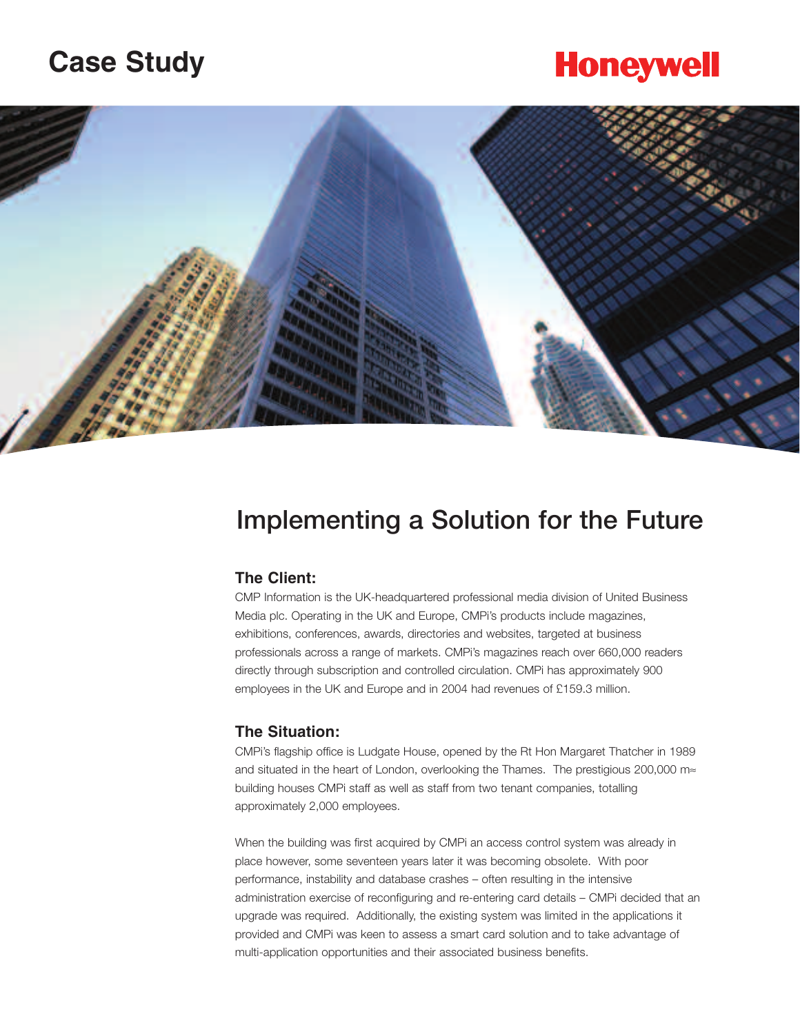## **Case Study**

# **Honeywell**



## **Implementing a Solution for the Future**

#### **The Client:**

CMP Information is the UK-headquartered professional media division of United Business Media plc. Operating in the UK and Europe, CMPi's products include magazines, exhibitions, conferences, awards, directories and websites, targeted at business professionals across a range of markets. CMPi's magazines reach over 660,000 readers directly through subscription and controlled circulation. CMPi has approximately 900 employees in the UK and Europe and in 2004 had revenues of £159.3 million.

### **The Situation:**

CMPi's flagship office is Ludgate House, opened by the Rt Hon Margaret Thatcher in 1989 and situated in the heart of London, overlooking the Thames. The prestigious 200,000 m≈ building houses CMPi staff as well as staff from two tenant companies, totalling approximately 2,000 employees.

When the building was first acquired by CMPi an access control system was already in place however, some seventeen years later it was becoming obsolete. With poor performance, instability and database crashes – often resulting in the intensive administration exercise of reconfiguring and re-entering card details – CMPi decided that an upgrade was required. Additionally, the existing system was limited in the applications it provided and CMPi was keen to assess a smart card solution and to take advantage of multi-application opportunities and their associated business benefits.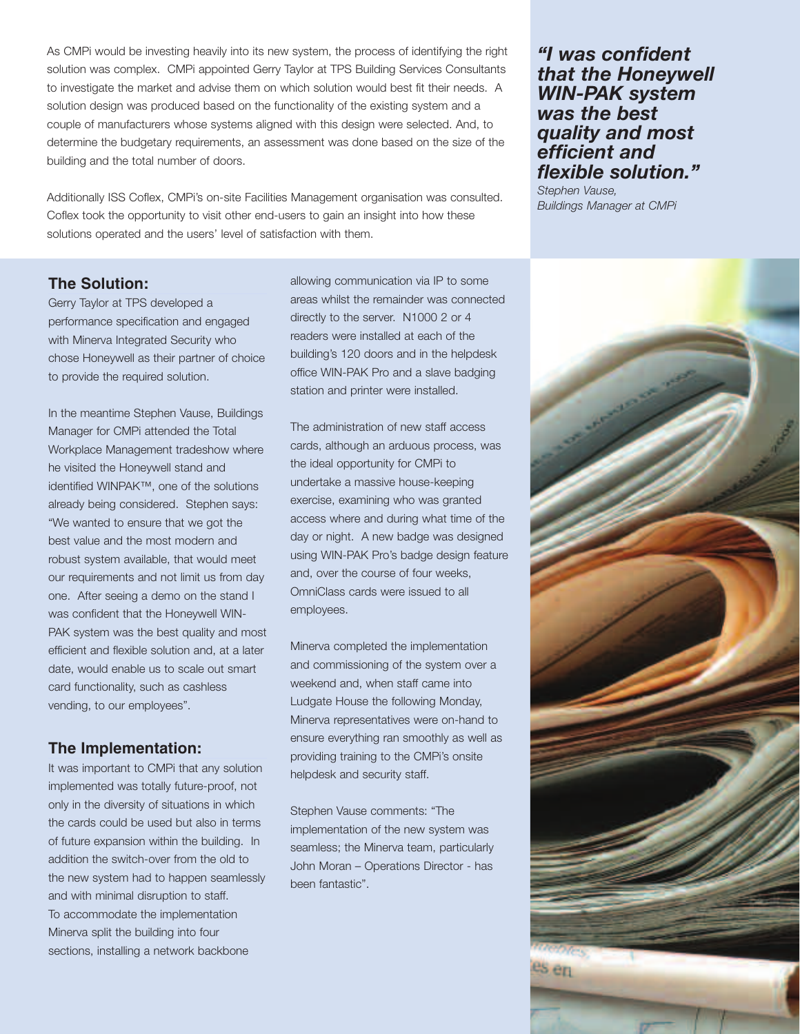As CMPi would be investing heavily into its new system, the process of identifying the right solution was complex. CMPi appointed Gerry Taylor at TPS Building Services Consultants to investigate the market and advise them on which solution would best fit their needs. A solution design was produced based on the functionality of the existing system and a couple of manufacturers whose systems aligned with this design were selected. And, to determine the budgetary requirements, an assessment was done based on the size of the building and the total number of doors.

Additionally ISS Coflex, CMPi's on-site Facilities Management organisation was consulted. Coflex took the opportunity to visit other end-users to gain an insight into how these solutions operated and the users' level of satisfaction with them.

### **The Solution:**

Gerry Taylor at TPS developed a performance specification and engaged with Minerva Integrated Security who chose Honeywell as their partner of choice to provide the required solution.

In the meantime Stephen Vause, Buildings Manager for CMPi attended the Total Workplace Management tradeshow where he visited the Honeywell stand and identified WINPAK™, one of the solutions already being considered. Stephen says: "We wanted to ensure that we got the best value and the most modern and robust system available, that would meet our requirements and not limit us from day one. After seeing a demo on the stand I was confident that the Honeywell WIN-PAK system was the best quality and most efficient and flexible solution and, at a later date, would enable us to scale out smart card functionality, such as cashless vending, to our employees".

### **The Implementation:**

It was important to CMPi that any solution implemented was totally future-proof, not only in the diversity of situations in which the cards could be used but also in terms of future expansion within the building. In addition the switch-over from the old to the new system had to happen seamlessly and with minimal disruption to staff. To accommodate the implementation Minerva split the building into four sections, installing a network backbone

allowing communication via IP to some areas whilst the remainder was connected directly to the server. N1000 2 or 4 readers were installed at each of the building's 120 doors and in the helpdesk office WIN-PAK Pro and a slave badging station and printer were installed.

The administration of new staff access cards, although an arduous process, was the ideal opportunity for CMPi to undertake a massive house-keeping exercise, examining who was granted access where and during what time of the day or night. A new badge was designed using WIN-PAK Pro's badge design feature and, over the course of four weeks, OmniClass cards were issued to all employees.

Minerva completed the implementation and commissioning of the system over a weekend and, when staff came into Ludgate House the following Monday, Minerva representatives were on-hand to ensure everything ran smoothly as well as providing training to the CMPi's onsite helpdesk and security staff.

Stephen Vause comments: "The implementation of the new system was seamless; the Minerva team, particularly John Moran – Operations Director - has been fantastic".

## *"I was confident that the Honeywell WIN-PAK system was the best quality and most efficient and flexible solution."*

*Stephen Vause, Buildings Manager at CMPi*

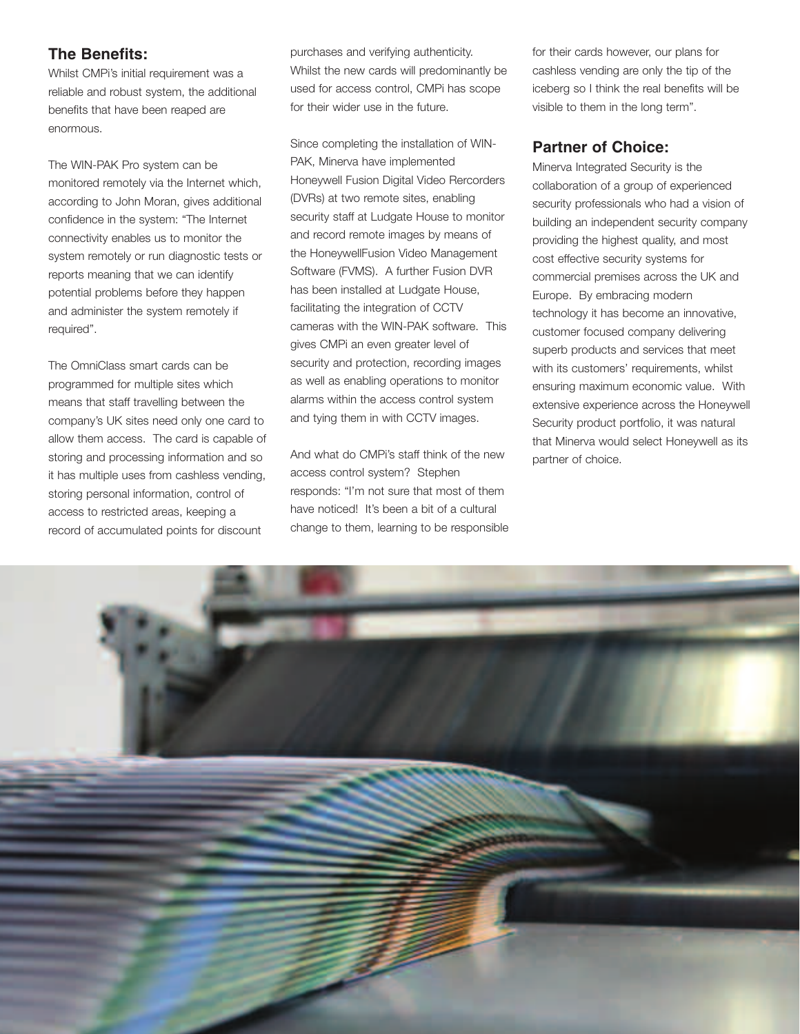## **The Benefits:**

Whilst CMPi's initial requirement was a reliable and robust system, the additional benefits that have been reaped are enormous.

The WIN-PAK Pro system can be monitored remotely via the Internet which, according to John Moran, gives additional confidence in the system: "The Internet connectivity enables us to monitor the system remotely or run diagnostic tests or reports meaning that we can identify potential problems before they happen and administer the system remotely if required".

The OmniClass smart cards can be programmed for multiple sites which means that staff travelling between the company's UK sites need only one card to allow them access. The card is capable of storing and processing information and so it has multiple uses from cashless vending, storing personal information, control of access to restricted areas, keeping a record of accumulated points for discount

purchases and verifying authenticity. Whilst the new cards will predominantly be used for access control, CMPi has scope for their wider use in the future.

Since completing the installation of WIN-PAK, Minerva have implemented Honeywell Fusion Digital Video Rercorders (DVRs) at two remote sites, enabling security staff at Ludgate House to monitor and record remote images by means of the HoneywellFusion Video Management Software (FVMS). A further Fusion DVR has been installed at Ludgate House, facilitating the integration of CCTV cameras with the WIN-PAK software. This gives CMPi an even greater level of security and protection, recording images as well as enabling operations to monitor alarms within the access control system and tying them in with CCTV images.

And what do CMPi's staff think of the new access control system? Stephen responds: "I'm not sure that most of them have noticed! It's been a bit of a cultural change to them, learning to be responsible for their cards however, our plans for cashless vending are only the tip of the iceberg so I think the real benefits will be visible to them in the long term".

## **Partner of Choice:**

Minerva Integrated Security is the collaboration of a group of experienced security professionals who had a vision of building an independent security company providing the highest quality, and most cost effective security systems for commercial premises across the UK and Europe. By embracing modern technology it has become an innovative, customer focused company delivering superb products and services that meet with its customers' requirements, whilst ensuring maximum economic value. With extensive experience across the Honeywell Security product portfolio, it was natural that Minerva would select Honeywell as its partner of choice.